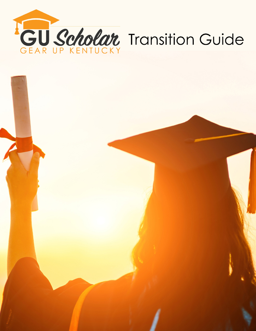

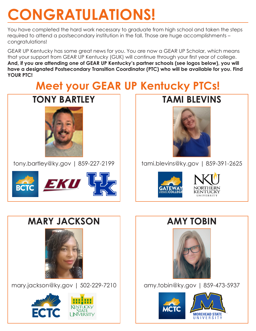# **CONGRATULATIONS!**

You have completed the hard work necessary to graduate from high school and taken the steps required to attend a postsecondary institution in the fall. Those are huge accomplishments – congratulations!

GEAR UP Kentucky has some great news for you. You are now a GEAR UP Scholar, which means that your support from GEAR UP Kentucky (GUK) will continue through your first year of college. **And, if you are attending one of GEAR UP Kentucky's partner schools (see logos below), you will have a designated Postsecondary Transition Coordinator (PTC) who will be available for you. Find YOUR PTC!**

## **Meet your GEAR UP Kentucky PTCs!**



tony.bartley@ky.gov | 859-227-2199



### **TAMI BLEVINS**



tami.blevins@ky.gov | 859-391-2625





### **MARY JACKSON**



mary.jackson@ky.gov | 502-229-7210



### **AMY TOBIN**



amy.tobin@ky.gov | 859-473-5937

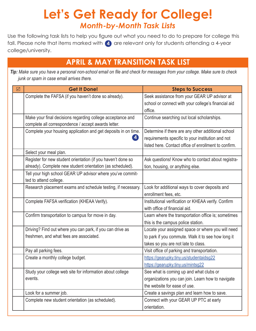### **Let's Get Ready for College!** *Month-by-Month Task Lists*

Use the following task lists to help you figure out what you need to do to prepare for college this fall. Please note that items marked with (4) are relevant only for students attending a 4-year college/university.

### **APRIL & MAY TRANSITION TASK LIST**

*Tip: Make sure you have a personal non-school email on file and check for messages from your college. Make sure to check junk or spam in case email arrives there.* 

| ☑ | <b>Get It Done!</b>                                            | <b>Steps to Success</b>                               |
|---|----------------------------------------------------------------|-------------------------------------------------------|
|   | Complete the FAFSA (if you haven't done so already).           | Seek assistance from your GEAR UP advisor at          |
|   |                                                                | school or connect with your college's financial aid   |
|   |                                                                | office.                                               |
|   | Make your final decisions regarding college acceptance and     | Continue searching out local scholarships.            |
|   | complete all correspondence / accept awards letter.            |                                                       |
|   | Complete your housing application and get deposits in on time. | Determine if there are any other additional school    |
|   | $\vert \bm{4} \vert$                                           | requirements specific to your institution and not     |
|   |                                                                | listed here. Contact office of enrollment to confirm. |
|   | Select your meal plan.                                         |                                                       |
|   | Register for new student orientation (if you haven't done so   | Ask questions! Know who to contact about registra-    |
|   | already). Complete new student orientation (as scheduled).     | tion, housing, or anything else.                      |
|   | Tell your high school GEAR UP advisor where you've commit-     |                                                       |
|   | ted to attend college.                                         |                                                       |
|   | Research placement exams and schedule testing, if necessary.   | Look for additional ways to cover deposits and        |
|   |                                                                | enrollment fees, etc.                                 |
|   | Complete FAFSA verification (KHEAA Verify).                    | Institutional verification or KHEAA verify. Confirm   |
|   |                                                                | with office of financial aid.                         |
|   | Confirm transportation to campus for move in day.              | Learn where the transportation office is; sometimes   |
|   |                                                                | this is the campus police station.                    |
|   | Driving? Find out where you can park, if you can drive as      | Locate your assigned space or where you will need     |
|   | freshmen, and what fees are associated.                        | to park if you commute. Walk it to see how long it    |
|   |                                                                | takes so you are not late to class.                   |
|   | Pay all parking fees.                                          | Visit office of parking and transportation.           |
|   | Create a monthly college budget.                               | https://gearupky.tiny.us/studentaidsg22               |
|   |                                                                | https://gearupky.tiny.us/mintsg22                     |
|   | Study your college web site for information about college      | See what is coming up and what clubs or               |
|   | events.                                                        | organizations you can join. Learn how to navigate     |
|   |                                                                | the website for ease of use.                          |
|   | Look for a summer job.                                         | Create a savings plan and learn how to save.          |
|   | Complete new student orientation (as scheduled).               | Connect with your GEAR UP PTC at early                |
|   |                                                                | orientation.                                          |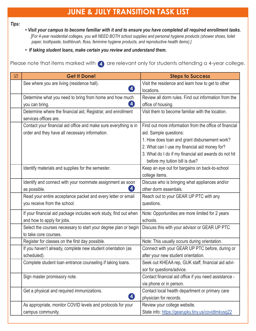#### **JUNE & JULY TRANSITION TASK LIST**

*Tips:* 

- *Visit your campus to become familiar with it and to ensure you have completed all required enrollment tasks. [For 4-year residential colleges, you will NEED BOTH school supplies and personal hygiene products (shower shoes, toilet paper, toothpaste, toothbrush, floss, feminine hygiene products, and reproductive health items).]*
- *If taking student loans, make certain you review and understand them.*

Please note that items marked with **4** are relevant only for students attending a 4-year college.

| ☑ | <b>Get It Done!</b>                                              | <b>Steps to Success</b>                                |
|---|------------------------------------------------------------------|--------------------------------------------------------|
|   | See where you are living (residence hall).                       | Visit the residence and learn how to get to other      |
|   | $\left  \bm{A} \right $                                          | locations.                                             |
|   | Determine what you need to bring from home and how much          | Review all dorm rules. Find out information from the   |
|   | $\left  \mathbf{4} \right\rangle$<br>you can bring.              | office of housing.                                     |
|   | Determine where the financial aid, Registrar, and enrollment     | Visit them to become familiar with the location.       |
|   | services offices are.                                            |                                                        |
|   | Contact your financial aid office and make sure everything is in | Find out more information from the office of financial |
|   | order and they have all necessary information.                   | aid. Sample questions:                                 |
|   |                                                                  | 1. How does loan and grant disbursement work?          |
|   |                                                                  | 2. What can I use my financial aid money for?          |
|   |                                                                  | 3. What do I do if my financial aid awards do not hit  |
|   |                                                                  | before my tuition bill is due?                         |
|   | Identify materials and supplies for the semester.                | Keep an eye out for bargains on back-to-school         |
|   |                                                                  | college items.                                         |
|   | Identify and connect with your roommate assignment as soon       | Discuss who is bringing what appliances and/or         |
|   | $\boldsymbol{4}$<br>as possible.                                 | other dorm essentials.                                 |
|   | Read your entire acceptance packet and every letter or email     | Reach out to your GEAR UP PTC with any                 |
|   | you receive from the school.                                     | questions.                                             |
|   | If your financial aid package includes work study, find out when | Note: Opportunities are more limited for 2 years       |
|   | and how to apply for jobs.                                       | schools.                                               |
|   | Select the courses necessary to start your degree plan or begin  | Discuss this with your advisor or GEAR UP PTC          |
|   | to take core courses.                                            |                                                        |
|   | Register for classes on the first day possible.                  | Note: This usually occurs during orientation.          |
|   | If you haven't already, complete new student orientation (as     | Connect with your GEAR UP PTC before, during or        |
|   | scheduled).                                                      | after your new student orientation.                    |
|   | Complete student loan entrance counseling if taking loans.       | Seek out KHEAA rep, GUK staff, financial aid advi-     |
|   |                                                                  | sor for questions/advice.                              |
|   | Sign master promissory note.                                     | Contact financial aid office if you need assistance -  |
|   |                                                                  | via phone or in person.                                |
|   | Get a physical and required immunizations.                       | Contact local health department or primary care        |
|   | $\boldsymbol{A}$                                                 | physician for records.                                 |
|   | As appropriate, monitor COVID levels and protocols for your      | Review your college website.                           |
|   | campus community.                                                | State info: https://gearupky.tiny.us/covidtmkysg22     |